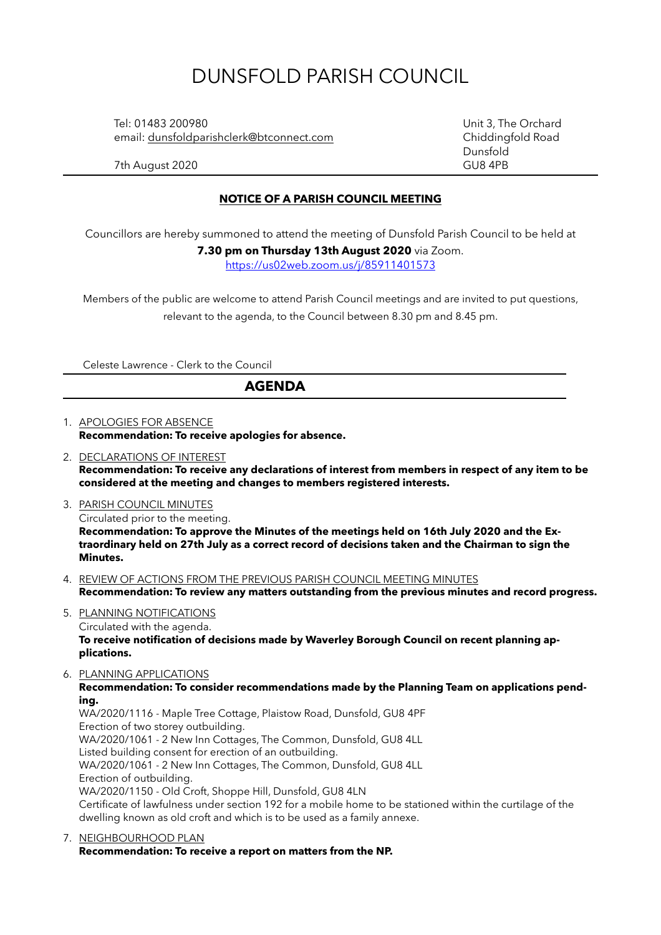# DUNSFOLD PARISH COUNCIL

 Tel: 01483 200980 Unit 3, The Orchard email: [dunsfoldparishclerk@btconnect.com](mailto:dunsfoldparishclerk@btconnect.com) Chiddingfold Road

Dunsfold

7th August 2020 GU8 4PB

#### **NOTICE OF A PARISH COUNCIL MEETING**

Councillors are hereby summoned to attend the meeting of Dunsfold Parish Council to be held at

**7.30 pm on Thursday 13th August 2020** via Zoom. <https://us02web.zoom.us/j/85911401573>

Members of the public are welcome to attend Parish Council meetings and are invited to put questions, relevant to the agenda, to the Council between 8.30 pm and 8.45 pm.

Celeste Lawrence - Clerk to the Council

#### **AGENDA**

1. APOLOGIES FOR ABSENCE **Recommendation: To receive apologies for absence.**

- 2. DECLARATIONS OF INTEREST **Recommendation: To receive any declarations of interest from members in respect of any item to be considered at the meeting and changes to members registered interests.**
- 3. PARISH COUNCIL MINUTES Circulated prior to the meeting. **Recommendation: To approve the Minutes of the meetings held on 16th July 2020 and the Extraordinary held on 27th July as a correct record of decisions taken and the Chairman to sign the Minutes.**
- 4. REVIEW OF ACTIONS FROM THE PREVIOUS PARISH COUNCIL MEETING MINUTES **Recommendation: To review any matters outstanding from the previous minutes and record progress.**
- 5. PLANNING NOTIFICATIONS Circulated with the agenda. **To receive notification of decisions made by Waverley Borough Council on recent planning applications.**
- 6. PLANNING APPLICATIONS **Recommendation: To consider recommendations made by the Planning Team on applications pending.**

WA/2020/1116 - Maple Tree Cottage, Plaistow Road, Dunsfold, GU8 4PF Erection of two storey outbuilding. WA/2020/1061 - 2 New Inn Cottages, The Common, Dunsfold, GU8 4LL Listed building consent for erection of an outbuilding. WA/2020/1061 - 2 New Inn Cottages, The Common, Dunsfold, GU8 4LL Erection of outbuilding. WA/2020/1150 - Old Croft, Shoppe Hill, Dunsfold, GU8 4LN Certificate of lawfulness under section 192 for a mobile home to be stationed within the curtilage of the dwelling known as old croft and which is to be used as a family annexe.

7. NEIGHBOURHOOD PLAN **Recommendation: To receive a report on matters from the NP.**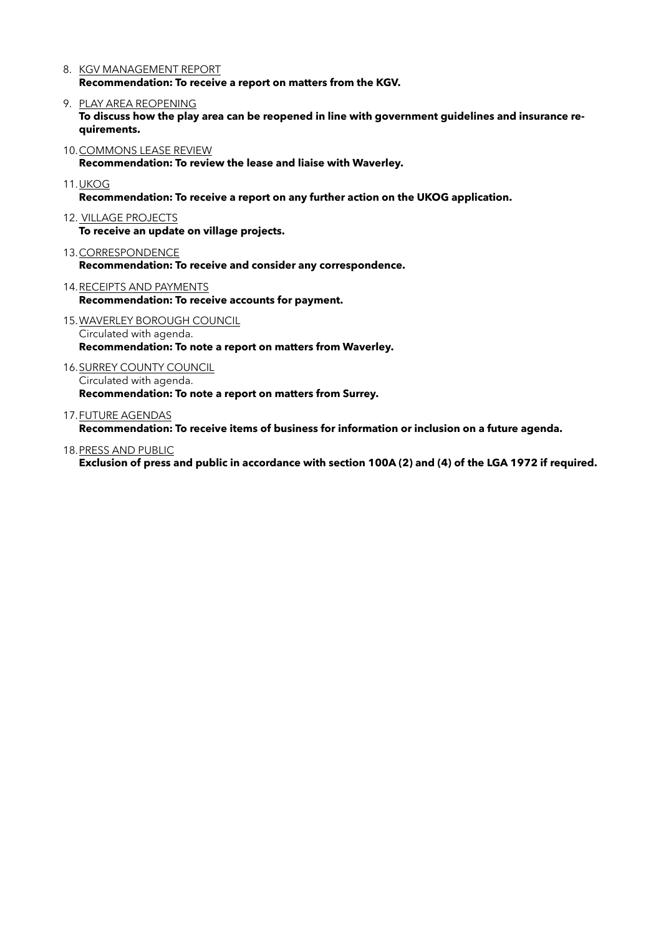- 8. KGV MANAGEMENT REPORT **Recommendation: To receive a report on matters from the KGV.**
- 9. PLAY AREA REOPENING

**To discuss how the play area can be reopened in line with government guidelines and insurance requirements.** 

10.COMMONS LEASE REVIEW

**Recommendation: To review the lease and liaise with Waverley.** 

11.UKOG

**Recommendation: To receive a report on any further action on the UKOG application.** 

12. VILLAGE PROJECTS

**To receive an update on village projects.** 

- 13.CORRESPONDENCE **Recommendation: To receive and consider any correspondence.**
- 14.RECEIPTS AND PAYMENTS **Recommendation: To receive accounts for payment.**
- 15.WAVERLEY BOROUGH COUNCIL Circulated with agenda. **Recommendation: To note a report on matters from Waverley.**
- 16.SURREY COUNTY COUNCIL Circulated with agenda. **Recommendation: To note a report on matters from Surrey.**
- 17.FUTURE AGENDAS

**Recommendation: To receive items of business for information or inclusion on a future agenda.**

18.PRESS AND PUBLIC

**Exclusion of press and public in accordance with section 100A (2) and (4) of the LGA 1972 if required.**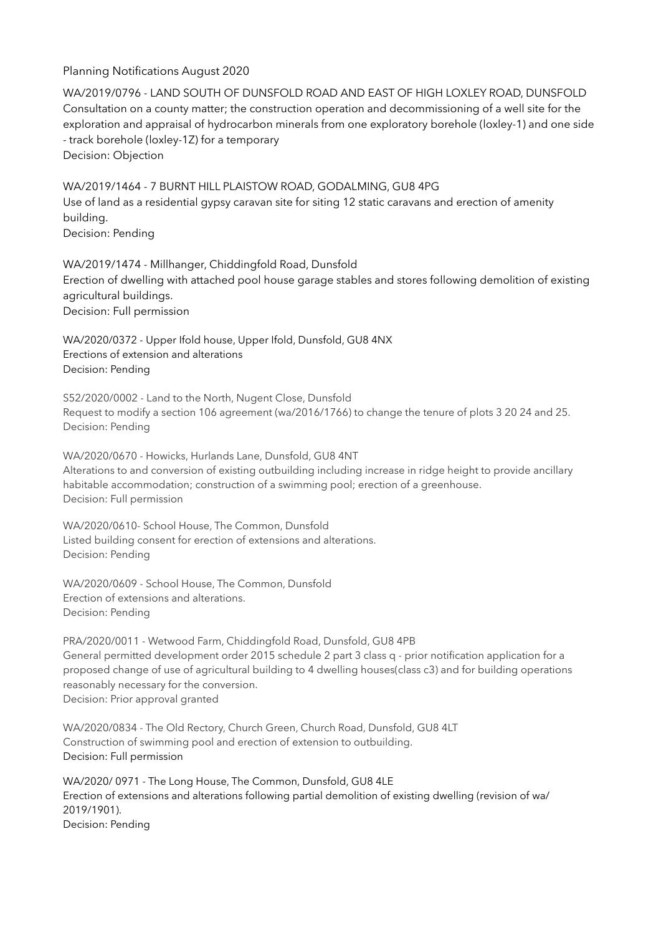### Planning Notifications August 2020

WA/2019/0796 - LAND SOUTH OF DUNSFOLD ROAD AND EAST OF HIGH LOXLEY ROAD, DUNSFOLD Consultation on a county matter; the construction operation and decommissioning of a well site for the exploration and appraisal of hydrocarbon minerals from one exploratory borehole (loxley-1) and one side - track borehole (loxley-1Z) for a temporary Decision: Objection

WA/2019/1464 - 7 BURNT HILL PLAISTOW ROAD, GODALMING, GU8 4PG Use of land as a residential gypsy caravan site for siting 12 static caravans and erection of amenity building. Decision: Pending

WA/2019/1474 - Millhanger, Chiddingfold Road, Dunsfold Erection of dwelling with attached pool house garage stables and stores following demolition of existing agricultural buildings. Decision: Full permission

WA/2020/0372 - Upper Ifold house, Upper Ifold, Dunsfold, GU8 4NX Erections of extension and alterations Decision: Pending

S52/2020/0002 - Land to the North, Nugent Close, Dunsfold Request to modify a section 106 agreement (wa/2016/1766) to change the tenure of plots 3 20 24 and 25. Decision: Pending

WA/2020/0670 - Howicks, Hurlands Lane, Dunsfold, GU8 4NT Alterations to and conversion of existing outbuilding including increase in ridge height to provide ancillary habitable accommodation; construction of a swimming pool; erection of a greenhouse. Decision: Full permission

WA/2020/0610- School House, The Common, Dunsfold Listed building consent for erection of extensions and alterations. Decision: Pending

WA/2020/0609 - School House, The Common, Dunsfold Erection of extensions and alterations. Decision: Pending

PRA/2020/0011 - Wetwood Farm, Chiddingfold Road, Dunsfold, GU8 4PB General permitted development order 2015 schedule 2 part 3 class q - prior notification application for a proposed change of use of agricultural building to 4 dwelling houses(class c3) and for building operations reasonably necessary for the conversion. Decision: Prior approval granted

WA/2020/0834 - The Old Rectory, Church Green, Church Road, Dunsfold, GU8 4LT Construction of swimming pool and erection of extension to outbuilding. Decision: Full permission

WA/2020/ 0971 - The Long House, The Common, Dunsfold, GU8 4LE Erection of extensions and alterations following partial demolition of existing dwelling (revision of wa/ 2019/1901). Decision: Pending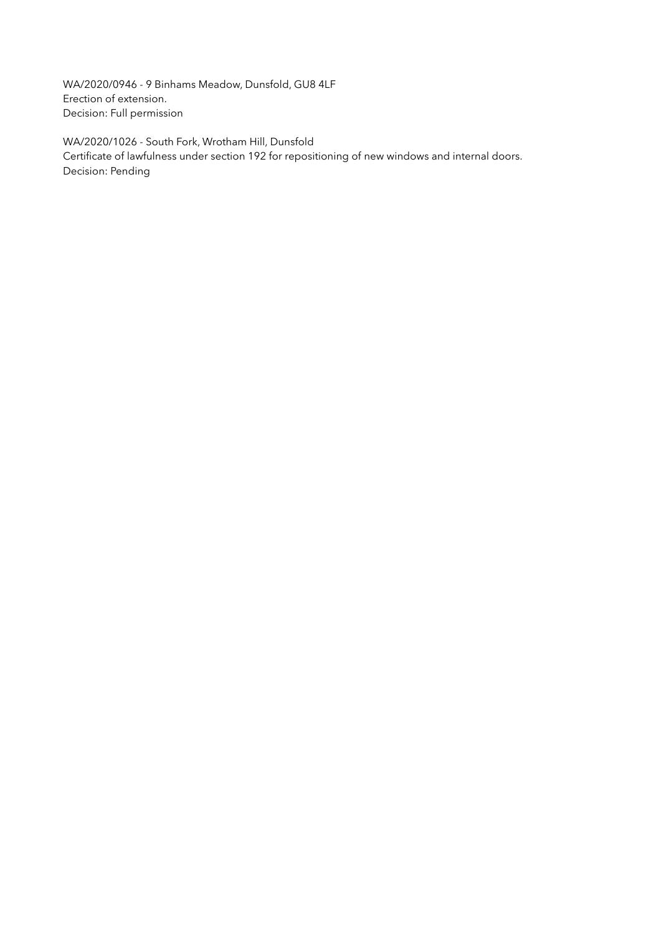WA/2020/0946 - 9 Binhams Meadow, Dunsfold, GU8 4LF Erection of extension. Decision: Full permission

WA/2020/1026 - South Fork, Wrotham Hill, Dunsfold Certificate of lawfulness under section 192 for repositioning of new windows and internal doors. Decision: Pending